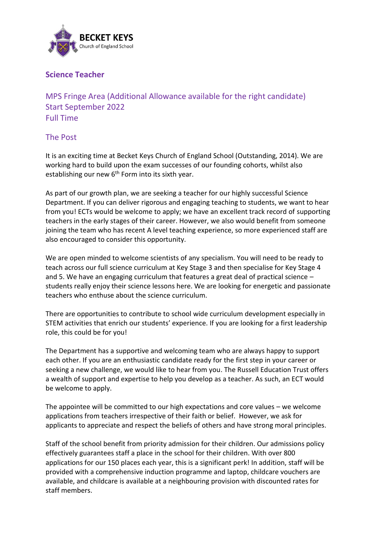

## **Science Teacher**

MPS Fringe Area (Additional Allowance available for the right candidate) Start September 2022 Full Time

## The Post

It is an exciting time at Becket Keys Church of England School (Outstanding, 2014). We are working hard to build upon the exam successes of our founding cohorts, whilst also establishing our new 6<sup>th</sup> Form into its sixth year.

As part of our growth plan, we are seeking a teacher for our highly successful Science Department. If you can deliver rigorous and engaging teaching to students, we want to hear from you! ECTs would be welcome to apply; we have an excellent track record of supporting teachers in the early stages of their career. However, we also would benefit from someone joining the team who has recent A level teaching experience, so more experienced staff are also encouraged to consider this opportunity.

We are open minded to welcome scientists of any specialism. You will need to be ready to teach across our full science curriculum at Key Stage 3 and then specialise for Key Stage 4 and 5. We have an engaging curriculum that features a great deal of practical science – students really enjoy their science lessons here. We are looking for energetic and passionate teachers who enthuse about the science curriculum.

There are opportunities to contribute to school wide curriculum development especially in STEM activities that enrich our students' experience. If you are looking for a first leadership role, this could be for you!

The Department has a supportive and welcoming team who are always happy to support each other. If you are an enthusiastic candidate ready for the first step in your career or seeking a new challenge, we would like to hear from you. The Russell Education Trust offers a wealth of support and expertise to help you develop as a teacher. As such, an ECT would be welcome to apply.

The appointee will be committed to our high expectations and core values – we welcome applications from teachers irrespective of their faith or belief. However, we ask for applicants to appreciate and respect the beliefs of others and have strong moral principles.

Staff of the school benefit from priority admission for their children. Our admissions policy effectively guarantees staff a place in the school for their children. With over 800 applications for our 150 places each year, this is a significant perk! In addition, staff will be provided with a comprehensive induction programme and laptop, childcare vouchers are available, and childcare is available at a neighbouring provision with discounted rates for staff members.